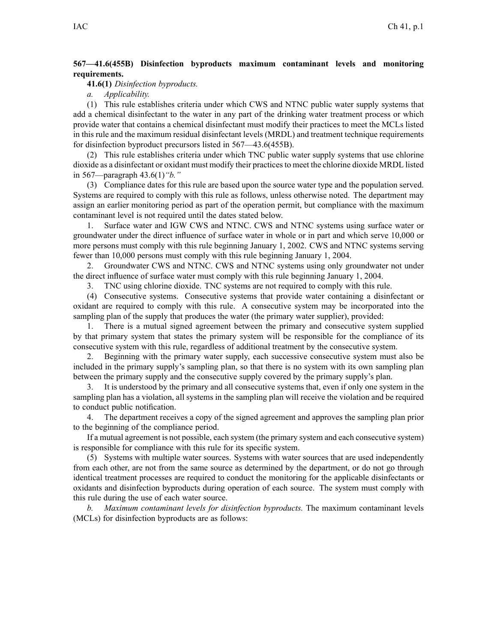## **567—41.6(455B) Disinfection byproducts maximum contaminant levels and monitoring requirements.**

**41.6(1)** *Disinfection byproducts.*

*a. Applicability.*

(1) This rule establishes criteria under which CWS and NTNC public water supply systems that add <sup>a</sup> chemical disinfectant to the water in any par<sup>t</sup> of the drinking water treatment process or which provide water that contains <sup>a</sup> chemical disinfectant must modify their practices to meet the MCLs listed in this rule and the maximum residual disinfectant levels (MRDL) and treatment technique requirements for disinfection byproduct precursors listed in 567—43.6(455B).

(2) This rule establishes criteria under which TNC public water supply systems that use chlorine dioxide as <sup>a</sup> disinfectant or oxidant must modify their practicesto meet the chlorine dioxide MRDL listed in 567—paragraph 43.6(1)*"b."*

(3) Compliance dates for this rule are based upon the source water type and the population served. Systems are required to comply with this rule as follows, unless otherwise noted. The department may assign an earlier monitoring period as par<sup>t</sup> of the operation permit, but compliance with the maximum contaminant level is not required until the dates stated below.

1. Surface water and IGW CWS and NTNC. CWS and NTNC systems using surface water or groundwater under the direct influence of surface water in whole or in par<sup>t</sup> and which serve 10,000 or more persons must comply with this rule beginning January 1, 2002. CWS and NTNC systems serving fewer than 10,000 persons must comply with this rule beginning January 1, 2004.

2. Groundwater CWS and NTNC. CWS and NTNC systems using only groundwater not under the direct influence of surface water must comply with this rule beginning January 1, 2004.

3. TNC using chlorine dioxide. TNC systems are not required to comply with this rule.

(4) Consecutive systems. Consecutive systems that provide water containing <sup>a</sup> disinfectant or oxidant are required to comply with this rule. A consecutive system may be incorporated into the sampling plan of the supply that produces the water (the primary water supplier), provided:

1. There is <sup>a</sup> mutual signed agreemen<sup>t</sup> between the primary and consecutive system supplied by that primary system that states the primary system will be responsible for the compliance of its consecutive system with this rule, regardless of additional treatment by the consecutive system.

2. Beginning with the primary water supply, each successive consecutive system must also be included in the primary supply's sampling plan, so that there is no system with its own sampling plan between the primary supply and the consecutive supply covered by the primary supply's plan.

3. It is understood by the primary and all consecutive systems that, even if only one system in the sampling plan has <sup>a</sup> violation, all systems in the sampling plan will receive the violation and be required to conduct public notification.

4. The department receives <sup>a</sup> copy of the signed agreemen<sup>t</sup> and approves the sampling plan prior to the beginning of the compliance period.

If <sup>a</sup> mutual agreemen<sup>t</sup> is not possible, each system (the primary system and each consecutive system) is responsible for compliance with this rule for its specific system.

(5) Systems with multiple water sources. Systems with water sources that are used independently from each other, are not from the same source as determined by the department, or do not go through identical treatment processes are required to conduct the monitoring for the applicable disinfectants or oxidants and disinfection byproducts during operation of each source. The system must comply with this rule during the use of each water source.

*b. Maximum contaminant levels for disinfection byproducts.* The maximum contaminant levels (MCLs) for disinfection byproducts are as follows: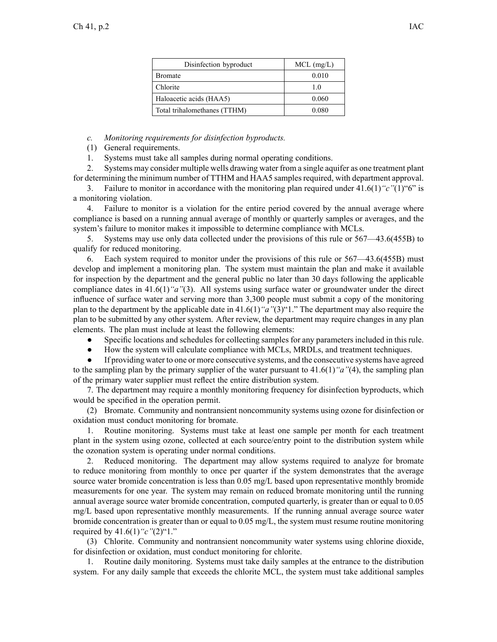| Disinfection byproduct       | $MCL$ (mg/L) |  |  |
|------------------------------|--------------|--|--|
| <b>Bromate</b>               | 0.010        |  |  |
| Chlorite                     | 10           |  |  |
| Haloacetic acids (HAA5)      | 0.060        |  |  |
| Total trihalomethanes (TTHM) | 0.080        |  |  |

*c. Monitoring requirements for disinfection byproducts.*

(1) General requirements.

1. Systems must take all samples during normal operating conditions.

2. Systems may consider multiple wells drawing water from <sup>a</sup> single aquifer as one treatment plant for determining the minimum number of TTHM and HAA5 samplesrequired, with department approval.

3. Failure to monitor in accordance with the monitoring plan required under 41.6(1)*"c"*(1)"6" is <sup>a</sup> monitoring violation.

4. Failure to monitor is <sup>a</sup> violation for the entire period covered by the annual average where compliance is based on <sup>a</sup> running annual average of monthly or quarterly samples or averages, and the system's failure to monitor makes it impossible to determine compliance with MCLs.

5. Systems may use only data collected under the provisions of this rule or 567—43.6(455B) to qualify for reduced monitoring.

6. Each system required to monitor under the provisions of this rule or 567—43.6(455B) must develop and implement <sup>a</sup> monitoring plan. The system must maintain the plan and make it available for inspection by the department and the general public no later than 30 days following the applicable compliance dates in 41.6(1)*"a"*(3). All systems using surface water or groundwater under the direct influence of surface water and serving more than 3,300 people must submit <sup>a</sup> copy of the monitoring plan to the department by the applicable date in 41.6(1)*"a"*(3)"1." The department may also require the plan to be submitted by any other system. After review, the department may require changes in any plan elements. The plan must include at least the following elements:

 $\bullet$ Specific locations and schedules for collecting samples for any parameters included in this rule.

 $\bullet$ How the system will calculate compliance with MCLs, MRDLs, and treatment techniques.

● If providing water to one or more consecutive systems, and the consecutive systems have agreed to the sampling plan by the primary supplier of the water pursuan<sup>t</sup> to 41.6(1)*"a"*(4), the sampling plan of the primary water supplier must reflect the entire distribution system.

7. The department may require <sup>a</sup> monthly monitoring frequency for disinfection byproducts, which would be specified in the operation permit.

(2) Bromate. Community and nontransient noncommunity systems using ozone for disinfection or oxidation must conduct monitoring for bromate.

1. Routine monitoring. Systems must take at least one sample per month for each treatment plant in the system using ozone, collected at each source/entry point to the distribution system while the ozonation system is operating under normal conditions.

2. Reduced monitoring. The department may allow systems required to analyze for bromate to reduce monitoring from monthly to once per quarter if the system demonstrates that the average source water bromide concentration is less than 0.05 mg/L based upon representative monthly bromide measurements for one year. The system may remain on reduced bromate monitoring until the running annual average source water bromide concentration, computed quarterly, is greater than or equal to 0.05 mg/L based upon representative monthly measurements. If the running annual average source water bromide concentration is greater than or equal to 0.05 mg/L, the system must resume routine monitoring required by 41.6(1)*"c"*(2)"1."

(3) Chlorite. Community and nontransient noncommunity water systems using chlorine dioxide, for disinfection or oxidation, must conduct monitoring for chlorite.

1. Routine daily monitoring. Systems must take daily samples at the entrance to the distribution system. For any daily sample that exceeds the chlorite MCL, the system must take additional samples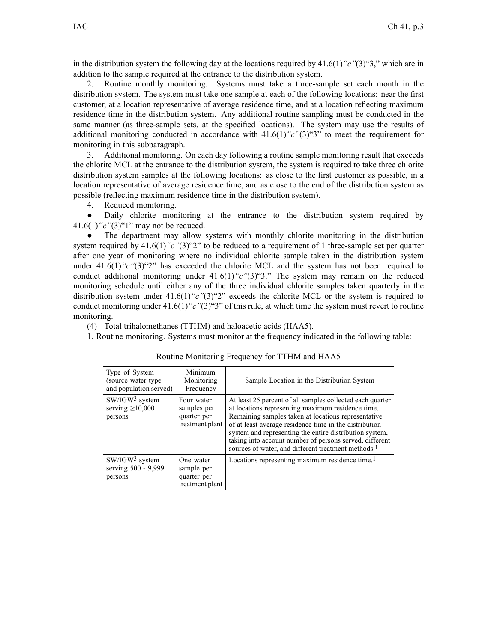in the distribution system the following day at the locations required by 41.6(1)*"c"*(3)"3," which are in addition to the sample required at the entrance to the distribution system.

2. Routine monthly monitoring. Systems must take <sup>a</sup> three-sample set each month in the distribution system. The system must take one sample at each of the following locations: near the first customer, at <sup>a</sup> location representative of average residence time, and at <sup>a</sup> location reflecting maximum residence time in the distribution system. Any additional routine sampling must be conducted in the same manner (as three-sample sets, at the specified locations). The system may use the results of additional monitoring conducted in accordance with 41.6(1)*"c"*(3)"3" to meet the requirement for monitoring in this subparagraph.

3. Additional monitoring. On each day following <sup>a</sup> routine sample monitoring result that exceeds the chlorite MCL at the entrance to the distribution system, the system is required to take three chlorite distribution system samples at the following locations: as close to the first customer as possible, in <sup>a</sup> location representative of average residence time, and as close to the end of the distribution system as possible (reflecting maximum residence time in the distribution system).

4. Reduced monitoring.

● Daily chlorite monitoring at the entrance to the distribution system required by 41.6(1)*"c"*(3)"1" may not be reduced.

● The department may allow systems with monthly chlorite monitoring in the distribution system required by 41.6(1)<sup>"</sup>c"(3)<sup>"2</sup>" to be reduced to a requirement of 1 three-sample set per quarter after one year of monitoring where no individual chlorite sample taken in the distribution system under  $41.6(1)$  "c"(3) "2" has exceeded the chlorite MCL and the system has not been required to conduct additional monitoring under 41.6(1)*"c"*(3)"3." The system may remain on the reduced monitoring schedule until either any of the three individual chlorite samples taken quarterly in the distribution system under 41.6(1)<sup>"</sup>c"(3)<sup>"2</sup>" exceeds the chlorite MCL or the system is required to conduct monitoring under 41.6(1)<sup>"</sup>c"(3)<sup>"3</sup>" of this rule, at which time the system must revert to routine monitoring.

(4) Total trihalomethanes (TTHM) and haloacetic acids (HAA5).

1. Routine monitoring. Systems must monitor at the frequency indicated in the following table:

| Type of System<br>(source water type)<br>and population served) | Minimum<br>Monitoring<br>Frequency                          | Sample Location in the Distribution System                                                                                                                                                                                                                                                                                                                                                                               |
|-----------------------------------------------------------------|-------------------------------------------------------------|--------------------------------------------------------------------------------------------------------------------------------------------------------------------------------------------------------------------------------------------------------------------------------------------------------------------------------------------------------------------------------------------------------------------------|
| $SW/IGW^3$ system<br>serving $\geq 10,000$<br>persons           | Four water<br>samples per<br>quarter per<br>treatment plant | At least 25 percent of all samples collected each quarter<br>at locations representing maximum residence time.<br>Remaining samples taken at locations representative<br>of at least average residence time in the distribution<br>system and representing the entire distribution system,<br>taking into account number of persons served, different<br>sources of water, and different treatment methods. <sup>1</sup> |
| SW/IGW <sup>3</sup> system<br>serving 500 - 9,999<br>persons    | One water<br>sample per<br>quarter per<br>treatment plant   | Locations representing maximum residence time. <sup>1</sup>                                                                                                                                                                                                                                                                                                                                                              |

Routine Monitoring Frequency for TTHM and HAA5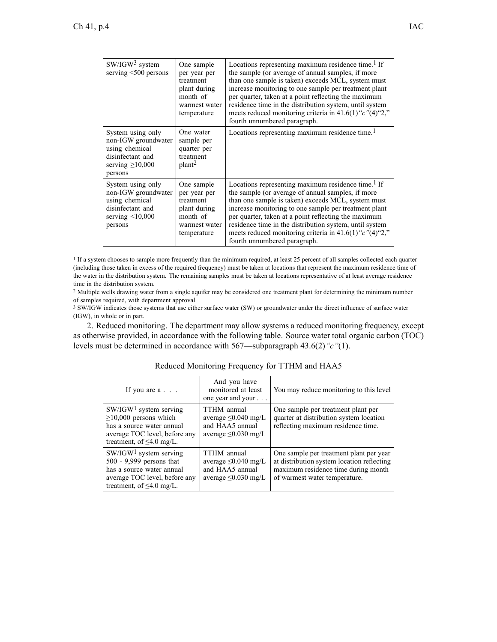| $SW/IGW^3$ system<br>serving $<$ 500 persons                                                                       | One sample<br>per year per<br>treatment<br>plant during<br>month of<br>warmest water<br>temperature | Locations representing maximum residence time. <sup>1</sup> If<br>the sample (or average of annual samples, if more<br>than one sample is taken) exceeds MCL, system must<br>increase monitoring to one sample per treatment plant<br>per quarter, taken at a point reflecting the maximum<br>residence time in the distribution system, until system<br>meets reduced monitoring criteria in 41.6(1) " $c$ "(4)"2,"<br>fourth unnumbered paragraph. |
|--------------------------------------------------------------------------------------------------------------------|-----------------------------------------------------------------------------------------------------|------------------------------------------------------------------------------------------------------------------------------------------------------------------------------------------------------------------------------------------------------------------------------------------------------------------------------------------------------------------------------------------------------------------------------------------------------|
| System using only<br>non-IGW groundwater<br>using chemical<br>disinfectant and<br>serving $\geq 10,000$<br>persons | One water<br>sample per<br>quarter per<br>treatment<br>plan <sup>2</sup>                            | Locations representing maximum residence time. <sup>1</sup>                                                                                                                                                                                                                                                                                                                                                                                          |
| System using only<br>non-IGW groundwater<br>using chemical<br>disinfectant and<br>serving $\leq 10,000$<br>persons | One sample<br>per year per<br>treatment<br>plant during<br>month of<br>warmest water<br>temperature | Locations representing maximum residence time. <sup>1</sup> If<br>the sample (or average of annual samples, if more<br>than one sample is taken) exceeds MCL, system must<br>increase monitoring to one sample per treatment plant<br>per quarter, taken at a point reflecting the maximum<br>residence time in the distribution system, until system<br>meets reduced monitoring criteria in 41.6(1) " $c$ "(4)"2,"<br>fourth unnumbered paragraph. |

1 If <sup>a</sup> system chooses to sample more frequently than the minimum required, at least 25 percen<sup>t</sup> of all samples collected each quarter (including those taken in excess of the required frequency) must be taken at locations that represen<sup>t</sup> the maximum residence time of the water in the distribution system. The remaining samples must be taken at locations representative of at least average residence time in the distribution system.

<sup>2</sup> Multiple wells drawing water from <sup>a</sup> single aquifer may be considered one treatment plant for determining the minimum number of samples required, with department approval.

<sup>3</sup> SW/IGW indicates those systems that use either surface water (SW) or groundwater under the direct influence of surface water (IGW), in whole or in part.

2. Reduced monitoring. The department may allow systems <sup>a</sup> reduced monitoring frequency, excep<sup>t</sup> as otherwise provided, in accordance with the following table. Source water total organic carbon (TOC) levels must be determined in accordance with 567—subparagraph 43.6(2)*"c"*(1).

| If you are $a \cdot \cdot \cdot$                                                                                                                        | And you have<br>monitored at least<br>one year and your                                  | You may reduce monitoring to this level                                                                                                                       |
|---------------------------------------------------------------------------------------------------------------------------------------------------------|------------------------------------------------------------------------------------------|---------------------------------------------------------------------------------------------------------------------------------------------------------------|
| $SW/IGW1$ system serving<br>$\geq$ 10,000 persons which<br>has a source water annual<br>average TOC level, before any<br>treatment, of $\leq 4.0$ mg/L. | TTHM annual<br>average $\leq 0.040$ mg/L<br>and HAA5 annual<br>average $\leq 0.030$ mg/L | One sample per treatment plant per<br>quarter at distribution system location<br>reflecting maximum residence time.                                           |
| $SW/IGW1$ system serving<br>500 - 9,999 persons that<br>has a source water annual<br>average TOC level, before any<br>treatment, of $\leq 4.0$ mg/L.    | TTHM annual<br>average $\leq 0.040$ mg/L<br>and HAA5 annual<br>average $\leq 0.030$ mg/L | One sample per treatment plant per year<br>at distribution system location reflecting<br>maximum residence time during month<br>of warmest water temperature. |

## Reduced Monitoring Frequency for TTHM and HAA5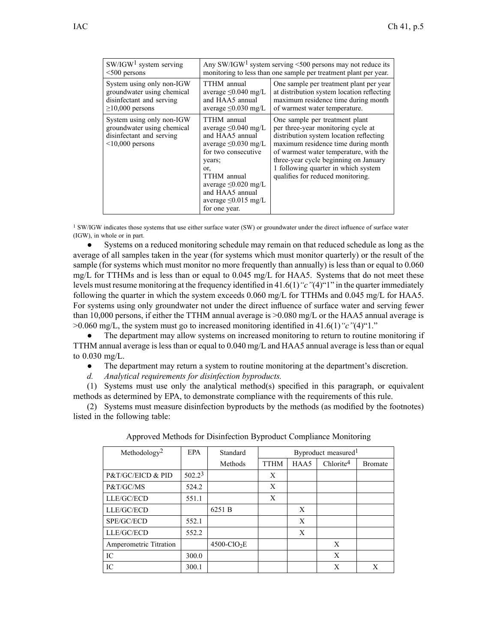| $SW/IGW1$ system serving                                                                                     | Any SW/IGW <sup>1</sup> system serving $\leq 500$ persons may not reduce its                                                                                                                                                                  |                                                                                                                                                                                                                                                                                                                       |  |
|--------------------------------------------------------------------------------------------------------------|-----------------------------------------------------------------------------------------------------------------------------------------------------------------------------------------------------------------------------------------------|-----------------------------------------------------------------------------------------------------------------------------------------------------------------------------------------------------------------------------------------------------------------------------------------------------------------------|--|
| $<$ 500 persons                                                                                              | monitoring to less than one sample per treatment plant per year.                                                                                                                                                                              |                                                                                                                                                                                                                                                                                                                       |  |
| System using only non-IGW                                                                                    | TTHM annual                                                                                                                                                                                                                                   | One sample per treatment plant per year                                                                                                                                                                                                                                                                               |  |
| groundwater using chemical                                                                                   | average $\leq 0.040$ mg/L                                                                                                                                                                                                                     | at distribution system location reflecting                                                                                                                                                                                                                                                                            |  |
| disinfectant and serving                                                                                     | and HAA5 annual                                                                                                                                                                                                                               | maximum residence time during month                                                                                                                                                                                                                                                                                   |  |
| $\geq$ 10,000 persons                                                                                        | average $\leq 0.030$ mg/L                                                                                                                                                                                                                     | of warmest water temperature.                                                                                                                                                                                                                                                                                         |  |
| System using only non-IGW<br>groundwater using chemical<br>disinfectant and serving<br>$\leq 10,000$ persons | TTHM annual<br>average $\leq 0.040$ mg/L<br>and HAA5 annual<br>average $\leq 0.030$ mg/L<br>for two consecutive<br>years;<br>or.<br>TTHM annual<br>average $\leq 0.020$ mg/L<br>and HAA5 annual<br>average $\leq 0.015$ mg/L<br>for one year. | One sample per treatment plant<br>per three-year monitoring cycle at<br>distribution system location reflecting<br>maximum residence time during month<br>of warmest water temperature, with the<br>three-year cycle beginning on January<br>1 following quarter in which system<br>qualifies for reduced monitoring. |  |

<sup>1</sup> SW/IGW indicates those systems that use either surface water (SW) or groundwater under the direct influence of surface water (IGW), in whole or in part.

● Systems on <sup>a</sup> reduced monitoring schedule may remain on that reduced schedule as long as the average of all samples taken in the year (for systems which must monitor quarterly) or the result of the sample (for systems which must monitor no more frequently than annually) is less than or equal to 0.060 mg/L for TTHMs and is less than or equal to 0.045 mg/L for HAA5. Systems that do not meet these levels must resume monitoring at the frequency identified in 41.6(1)*"c"*(4)"1" in the quarter immediately following the quarter in which the system exceeds 0.060 mg/L for TTHMs and 0.045 mg/L for HAA5. For systems using only groundwater not under the direct influence of surface water and serving fewer than 10,000 persons, if either the TTHM annual average is >0.080 mg/L or the HAA5 annual average is >0.060 mg/L, the system must go to increased monitoring identified in 41.6(1)*"c"*(4)"1."

● The department may allow systems on increased monitoring to return to routine monitoring if TTHM annual average is less than or equal to 0.040 mg/L and HAA5 annual average is less than or equal to 0.030 mg/L.

 $\bullet$ The department may return <sup>a</sup> system to routine monitoring at the department's discretion.

*d. Analytical requirements for disinfection byproducts.*

(1) Systems must use only the analytical method(s) specified in this paragraph, or equivalent methods as determined by EPA, to demonstrate compliance with the requirements of this rule.

(2) Systems must measure disinfection byproducts by the methods (as modified by the footnotes) listed in the following table:

| Methodology <sup>2</sup> | <b>EPA</b> | Standard                   | Byproduct measured <sup>1</sup> |      |                       |                |
|--------------------------|------------|----------------------------|---------------------------------|------|-----------------------|----------------|
|                          |            | Methods                    | <b>TTHM</b>                     | HAA5 | Chlorite <sup>4</sup> | <b>Bromate</b> |
| P&T/GC/EICD & PID        | $502.2^3$  |                            | Χ                               |      |                       |                |
| P&T/GC/MS                | 524.2      |                            | Χ                               |      |                       |                |
| LLE/GC/ECD               | 551.1      |                            | Χ                               |      |                       |                |
| LLE/GC/ECD               |            | 6251 B                     |                                 | X    |                       |                |
| SPE/GC/ECD               | 552.1      |                            |                                 | X    |                       |                |
| LLE/GC/ECD               | 552.2      |                            |                                 | X    |                       |                |
| Amperometric Titration   |            | $4500$ -ClO <sub>2</sub> E |                                 |      | X                     |                |
| IC                       | 300.0      |                            |                                 |      | X                     |                |
| IC                       | 300.1      |                            |                                 |      | X                     | Χ              |

Approved Methods for Disinfection Byproduct Compliance Monitoring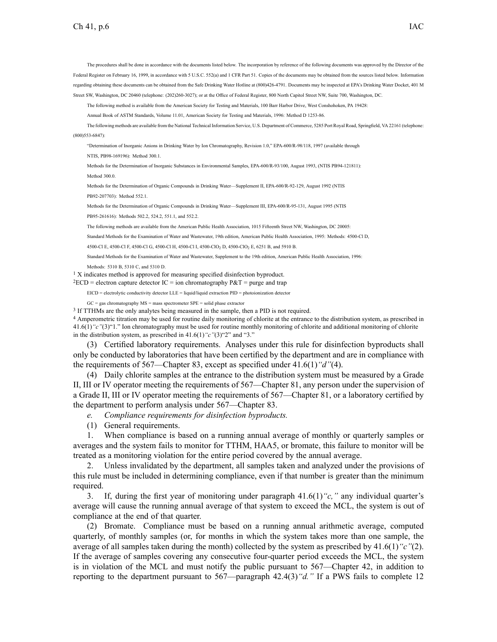The procedures shall be done in accordance with the documents listed below. The incorporation by reference of the following documents was approved by the Director of the Federal Register on February 16, 1999, in accordance with 5 U.S.C. 552(a) and 1 CFR Part 51. Copies of the documents may be obtained from the sources listed below. Information regarding obtaining these documents can be obtained from the Safe Drinking Water Hotline at (800)426-4791. Documents may be inspected at EPA's Drinking Water Docket, 401 M Street SW, Washington, DC 20460 (telephone: (202)260-3027); or at the Office of Federal Register, 800 North Capitol Street NW, Suite 700, Washington, DC.

The following method is available from the American Society for Testing and Materials, 100 Barr Harbor Drive, West Conshohoken, PA 19428:

Annual Book of ASTM Standards, Volume 11.01, American Society for Testing and Materials, 1996: Method D 1253-86.

The following methods are available from the National Technical Information Service, U.S. Department of Commerce, 5285 Port Royal Road, Springfield, VA 22161 (telephone: (800)553-6847):

"Determination of Inorganic Anions in Drinking Water by Ion Chromatography, Revision 1.0," EPA-600/R-98/118, 1997 (available through

NTIS, PB98-169196): Method 300.1.

Methods for the Determination of Inorganic Substances in Environmental Samples, EPA-600/R-93/100, August 1993, (NTIS PB94-121811): Method 300.0.

Methods for the Determination of Organic Compounds in Drinking Water—Supplement II, EPA-600/R-92-129, August 1992 (NTIS PB92-207703): Method 552.1.

Methods for the Determination of Organic Compounds in Drinking Water—Supplement III, EPA-600/R-95-131, August 1995 (NTIS

PB95-261616): Methods 502.2, 524.2, 551.1, and 552.2.

The following methods are available from the American Public Health Association, 1015 Fifteenth Street NW, Washington, DC 20005:

Standard Methods for the Examination of Water and Wastewater, 19th edition, American Public Health Association, 1995: Methods: 4500-Cl D,

4500-Cl E, 4500-Cl F, 4500-Cl G, 4500-Cl H, 4500-Cl I, 4500-Cl O<sub>2</sub> D, 4500-Cl O<sub>2</sub> E, 6251 B, and 5910 B.

Standard Methods for the Examination of Water and Wastewater, Supplement to the 19th edition, American Public Health Association, 1996:

Methods: 5310 B, 5310 C, and 5310 D.

<sup>1</sup> X indicates method is approved for measuring specified disinfection byproduct.

 $2ECD =$  electron capture detector IC = ion chromatography  $P\&T =$  purge and trap

EICD <sup>=</sup> electrolytic conductivity detector LLE <sup>=</sup> liquid/liquid extraction PID <sup>=</sup> photoionization detector

GC <sup>=</sup> gas chromatography MS <sup>=</sup> mass spectrometer SPE <sup>=</sup> solid phase extractor

3 If TTHMs are the only analytes being measured in the sample, then <sup>a</sup> PID is not required.

<sup>4</sup> Amperometric titration may be used for routine daily monitoring of chlorite at the entrance to the distribution system, as prescribed in 41.6(1)*"c"*(3)"1." Ion chromatography must be used for routine monthly monitoring of chlorite and additional monitoring of chlorite in the distribution system, as prescribed in 41.6(1)*"c"*(3)"2" and "3."

(3) Certified laboratory requirements. Analyses under this rule for disinfection byproducts shall only be conducted by laboratories that have been certified by the department and are in compliance with the requirements of 567—Chapter 83, excep<sup>t</sup> as specified under 41.6(1)*"d"*(4).

(4) Daily chlorite samples at the entrance to the distribution system must be measured by <sup>a</sup> Grade II, III or IV operator meeting the requirements of 567—Chapter 81, any person under the supervision of <sup>a</sup> Grade II, III or IV operator meeting the requirements of 567—Chapter 81, or <sup>a</sup> laboratory certified by the department to perform analysis under 567—Chapter 83.

- *e. Compliance requirements for disinfection byproducts.*
- (1) General requirements.

1. When compliance is based on <sup>a</sup> running annual average of monthly or quarterly samples or averages and the system fails to monitor for TTHM, HAA5, or bromate, this failure to monitor will be treated as <sup>a</sup> monitoring violation for the entire period covered by the annual average.

2. Unless invalidated by the department, all samples taken and analyzed under the provisions of this rule must be included in determining compliance, even if that number is greater than the minimum required.

3. If, during the first year of monitoring under paragraph 41.6(1)*"c,"* any individual quarter's average will cause the running annual average of that system to exceed the MCL, the system is out of compliance at the end of that quarter.

(2) Bromate. Compliance must be based on <sup>a</sup> running annual arithmetic average, computed quarterly, of monthly samples (or, for months in which the system takes more than one sample, the average of all samples taken during the month) collected by the system as prescribed by 41.6(1)*"c"*(2). If the average of samples covering any consecutive four-quarter period exceeds the MCL, the system is in violation of the MCL and must notify the public pursuan<sup>t</sup> to 567—Chapter 42, in addition to reporting to the department pursuan<sup>t</sup> to 567—paragraph 42.4(3)*"d."* If <sup>a</sup> PWS fails to complete 12